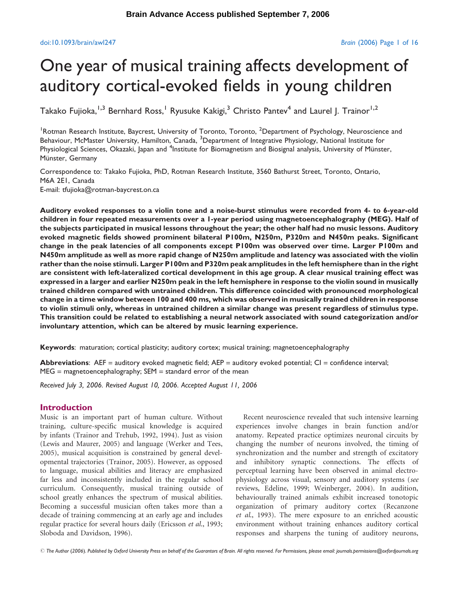# One year of musical training affects development of auditory cortical-evoked fields in young children

Takako Fujioka,<sup>1,3</sup> Bernhard Ross,<sup>1</sup> Ryusuke Kakigi,<sup>3</sup> Christo Pantev<sup>4</sup> and Laurel J. Trainor<sup>1,2</sup>

<sup>1</sup>Rotman Research Institute, Baycrest, University of Toronto, Toronto, <sup>2</sup>Department of Psychology, Neuroscience and Behaviour, McMaster University, Hamilton, Canada, <sup>3</sup>Department of Integrative Physiology, National Institute for Physiological Sciences, Okazaki, Japan and <sup>4</sup>Institute for Biomagnetism and Biosignal analysis, University of Münster, Münster, Germany

Correspondence to: Takako Fujioka, PhD, Rotman Research Institute, 3560 Bathurst Street, Toronto, Ontario, M6A 2E1, Canada E-mail: tfujioka@rotman-baycrest.on.ca

Auditory evoked responses to a violin tone and a noise-burst stimulus were recorded from 4- to 6-year-old children in four repeated measurements over a 1-year period using magnetoencephalography (MEG). Half of the subjects participated in musical lessons throughout the year; the other half had no music lessons. Auditory evoked magnetic fields showed prominent bilateral P100m, N250m, P320m and N450m peaks. Significant change in the peak latencies of all components except P100m was observed over time. Larger P100m and N450m amplitude as well as more rapid change of N250m amplitude and latency was associated with the violin rather than the noise stimuli. Larger P100m and P320m peak amplitudes in the left hemisphere than in the right are consistent with left-lateralized cortical development in this age group. A clear musical training effect was expressed in a larger and earlier N250m peak in the left hemisphere in response to the violin sound in musically trained children compared with untrained children. This difference coincided with pronounced morphological change in a time window between 100 and 400 ms, which was observed in musically trained children in response to violin stimuli only, whereas in untrained children a similar change was present regardless of stimulus type. This transition could be related to establishing a neural network associated with sound categorization and/or involuntary attention, which can be altered by music learning experience.

Keywords: maturation; cortical plasticity; auditory cortex; musical training; magnetoencephalography

Abbreviations:  $AEF =$  auditory evoked magnetic field;  $AEP =$  auditory evoked potential;  $Cl =$  confidence interval;  $MEG = magneticenerphalography$ ; SEM = standard error of the mean

Received July 3, 2006. Revised August 10, 2006. Accepted August 11, 2006

# Introduction

Music is an important part of human culture. Without training, culture-specific musical knowledge is acquired by infants (Trainor and Trehub, 1992, 1994). Just as vision (Lewis and Maurer, 2005) and language (Werker and Tees, 2005), musical acquisition is constrained by general developmental trajectories (Trainor, 2005). However, as opposed to language, musical abilities and literacy are emphasized far less and inconsistently included in the regular school curriculum. Consequently, musical training outside of school greatly enhances the spectrum of musical abilities. Becoming a successful musician often takes more than a decade of training commencing at an early age and includes regular practice for several hours daily (Ericsson et al., 1993; Sloboda and Davidson, 1996).

Recent neuroscience revealed that such intensive learning experiences involve changes in brain function and/or anatomy. Repeated practice optimizes neuronal circuits by changing the number of neurons involved, the timing of synchronization and the number and strength of excitatory and inhibitory synaptic connections. The effects of perceptual learning have been observed in animal electrophysiology across visual, sensory and auditory systems (see reviews, Edeline, 1999; Weinberger, 2004). In audition, behaviourally trained animals exhibit increased tonotopic organization of primary auditory cortex (Recanzone et al., 1993). The mere exposure to an enriched acoustic environment without training enhances auditory cortical responses and sharpens the tuning of auditory neurons,

 $\degree$  The Author (2006). Published by Oxford University Press on behalf of the Guarantors of Brain. All rights reserved. For Permissions, please email: journals.permissions@oxfordjournals.org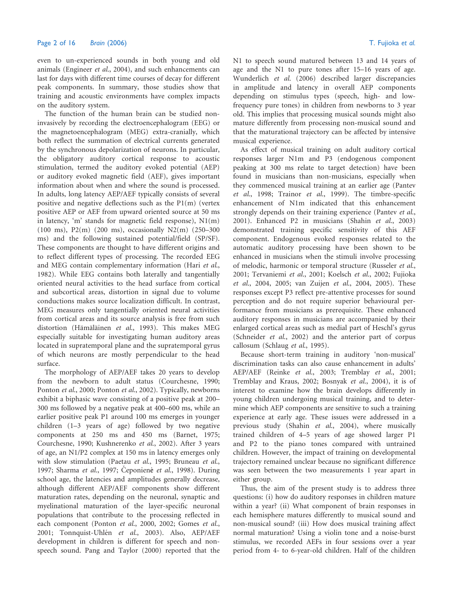even to un-experienced sounds in both young and old animals (Engineer et al., 2004), and such enhancements can last for days with different time courses of decay for different peak components. In summary, those studies show that training and acoustic environments have complex impacts on the auditory system.

The function of the human brain can be studied noninvasively by recording the electroencephalogram (EEG) or the magnetoencephalogram (MEG) extra-cranially, which both reflect the summation of electrical currents generated by the synchronous depolarization of neurons. In particular, the obligatory auditory cortical response to acoustic stimulation, termed the auditory evoked potential (AEP) or auditory evoked magnetic field (AEF), gives important information about when and where the sound is processed. In adults, long latency AEP/AEF typically consists of several positive and negative deflections such as the P1(m) (vertex positive AEP or AEF from upward oriented source at 50 ms in latency, 'm' stands for magnetic field response), N1(m) (100 ms), P2(m) (200 ms), occasionally N2(m) (250–300 ms) and the following sustained potential/field (SP/SF). These components are thought to have different origins and to reflect different types of processing. The recorded EEG and MEG contain complementary information (Hari et al., 1982). While EEG contains both laterally and tangentially oriented neural activities to the head surface from cortical and subcortical areas, distortion in signal due to volume conductions makes source localization difficult. In contrast, MEG measures only tangentially oriented neural activities from cortical areas and its source analysis is free from such distortion (Hämäläinen et al., 1993). This makes MEG especially suitable for investigating human auditory areas located in supratemporal plane and the supratemporal gyrus of which neurons are mostly perpendicular to the head surface.

The morphology of AEP/AEF takes 20 years to develop from the newborn to adult status (Courchesne, 1990; Ponton et al., 2000; Ponton et al., 2002). Typically, newborns exhibit a biphasic wave consisting of a positive peak at 200– 300 ms followed by a negative peak at 400–600 ms, while an earlier positive peak P1 around 100 ms emerges in younger children (1–3 years of age) followed by two negative components at 250 ms and 450 ms (Barnet, 1975; Courchesne, 1990; Kushnerenko et al., 2002). After 3 years of age, an N1/P2 complex at 150 ms in latency emerges only with slow stimulation (Paetau et al., 1995; Bruneau et al., 1997; Sharma et al., 1997; Ceponiene et al., 1998). During school age, the latencies and amplitudes generally decrease, although different AEP/AEF components show different maturation rates, depending on the neuronal, synaptic and myelinational maturation of the layer-specific neuronal populations that contribute to the processing reflected in each component (Ponton et al., 2000, 2002; Gomes et al., 2001; Tonnquist-Uhlén et al., 2003). Also, AEP/AEF development in children is different for speech and nonspeech sound. Pang and Taylor (2000) reported that the N1 to speech sound matured between 13 and 14 years of age and the N1 to pure tones after 15–16 years of age. Wunderlich et al. (2006) described larger discrepancies in amplitude and latency in overall AEP components depending on stimulus types (speech, high- and lowfrequency pure tones) in children from newborns to 3 year old. This implies that processing musical sounds might also mature differently from processing non-musical sound and that the maturational trajectory can be affected by intensive musical experience.

As effect of musical training on adult auditory cortical responses larger N1m and P3 (endogenous component peaking at 300 ms relate to target detection) have been found in musicians than non-musicians, especially when they commenced musical training at an earlier age (Pantev et al., 1998; Trainor et al., 1999). The timbre-specific enhancement of N1m indicated that this enhancement strongly depends on their training experience (Pantev et al., 2001). Enhanced P2 in musicians (Shahin et al., 2003) demonstrated training specific sensitivity of this AEF component. Endogenous evoked responses related to the automatic auditory processing have been shown to be enhanced in musicians when the stimuli involve processing of melodic, harmonic or temporal structure (Russeler et al., 2001; Tervaniemi et al., 2001; Koelsch et al., 2002; Fujioka et al., 2004, 2005; van Zuijen et al., 2004, 2005). These responses except P3 reflect pre-attentive processes for sound perception and do not require superior behavioural performance from musicians as prerequisite. These enhanced auditory responses in musicians are accompanied by their enlarged cortical areas such as medial part of Heschl's gyrus (Schneider et al., 2002) and the anterior part of corpus callosum (Schlaug et al., 1995).

Because short-term training in auditory 'non-musical' discrimination tasks can also cause enhancement in adults' AEP/AEF (Reinke et al., 2003; Tremblay et al., 2001; Tremblay and Kraus, 2002; Bosnyak et al., 2004), it is of interest to examine how the brain develops differently in young children undergoing musical training, and to determine which AEP components are sensitive to such a training experience at early age. These issues were addressed in a previous study (Shahin et al., 2004), where musically trained children of 4–5 years of age showed larger P1 and P2 to the piano tones compared with untrained children. However, the impact of training on developmental trajectory remained unclear because no significant difference was seen between the two measurements 1 year apart in either group.

Thus, the aim of the present study is to address three questions: (i) how do auditory responses in children mature within a year? (ii) What component of brain responses in each hemisphere matures differently to musical sound and non-musical sound? (iii) How does musical training affect normal maturation? Using a violin tone and a noise-burst stimulus, we recorded AEFs in four sessions over a year period from 4- to 6-year-old children. Half of the children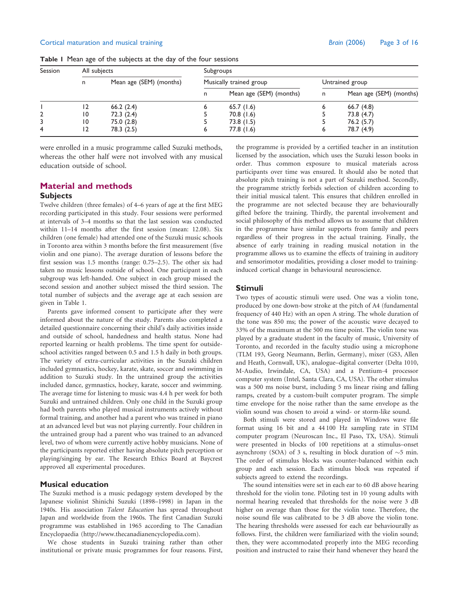| Session | All subjects |                         | Subgroups |                         |                 |                         |  |  |  |
|---------|--------------|-------------------------|-----------|-------------------------|-----------------|-------------------------|--|--|--|
|         | n            | Mean age (SEM) (months) |           | Musically trained group | Untrained group |                         |  |  |  |
|         |              |                         | n         | Mean age (SEM) (months) | n               | Mean age (SEM) (months) |  |  |  |
|         | 12           | 66.2(2.4)               | 6         | 65.7(1.6)               | ь               | 66.7(4.8)               |  |  |  |
|         | 10           | 72.3(2.4)               |           | 70.8(1.6)               |                 | 73.8(4.7)               |  |  |  |
|         | 10           | 75.0 (2.8)              |           | 73.8(1.5)               |                 | 76.2(5.7)               |  |  |  |
| 4       | 12           | 78.3 (2.5)              | 6         | 77.8(1.6)               | 6               | 78.7 (4.9)              |  |  |  |

Table 1 Mean age of the subjects at the day of the four sessions

were enrolled in a music programme called Suzuki methods, whereas the other half were not involved with any musical education outside of school.

# Material and methods

## Subjects

Twelve children (three females) of 4–6 years of age at the first MEG recording participated in this study. Four sessions were performed at intervals of 3–4 months so that the last session was conducted within 11–14 months after the first session (mean: 12.08). Six children (one female) had attended one of the Suzuki music schools in Toronto area within 3 months before the first measurement (five violin and one piano). The average duration of lessons before the first session was 1.5 months (range: 0.75–2.5). The other six had taken no music lessons outside of school. One participant in each subgroup was left-handed. One subject in each group missed the second session and another subject missed the third session. The total number of subjects and the average age at each session are given in Table 1.

Parents gave informed consent to participate after they were informed about the nature of the study. Parents also completed a detailed questionnaire concerning their child's daily activities inside and outside of school, handedness and health status. None had reported learning or health problems. The time spent for outsideschool activities ranged between 0.5 and 1.5 h daily in both groups. The variety of extra-curricular activities in the Suzuki children included gymnastics, hockey, karate, skate, soccer and swimming in addition to Suzuki study. In the untrained group the activities included dance, gymnastics, hockey, karate, soccer and swimming. The average time for listening to music was 4.4 h per week for both Suzuki and untrained children. Only one child in the Suzuki group had both parents who played musical instruments actively without formal training, and another had a parent who was trained in piano at an advanced level but was not playing currently. Four children in the untrained group had a parent who was trained to an advanced level, two of whom were currently active hobby musicians. None of the participants reported either having absolute pitch perception or playing/singing by ear. The Research Ethics Board at Baycrest approved all experimental procedures.

## Musical education

The Suzuki method is a music pedagogy system developed by the Japanese violinist Shinichi Suzuki (1898–1998) in Japan in the 1940s. His association Talent Education has spread throughout Japan and worldwide from the 1960s. The first Canadian Suzuki programme was established in 1965 according to The Canadian Encyclopaedia [\(http://www.thecanadianencyclopedia.com](http://www.thecanadianencyclopedia.com)).

We chose students in Suzuki training rather than other institutional or private music programmes for four reasons. First,

the programme is provided by a certified teacher in an institution licensed by the association, which uses the Suzuki lesson books in order. Thus common exposure to musical materials across participants over time was ensured. It should also be noted that absolute pitch training is not a part of Suzuki method. Secondly, the programme strictly forbids selection of children according to their initial musical talent. This ensures that children enrolled in the programme are not selected because they are behaviourally gifted before the training. Thirdly, the parental involvement and social philosophy of this method allows us to assume that children in the programme have similar supports from family and peers regardless of their progress in the actual training. Finally, the absence of early training in reading musical notation in the programme allows us to examine the effects of training in auditory and sensorimotor modalities, providing a closer model to traininginduced cortical change in behavioural neuroscience.

#### Stimuli

Two types of acoustic stimuli were used. One was a violin tone, produced by one down-bow stroke at the pitch of A4 (fundamental frequency of 440 Hz) with an open A string. The whole duration of the tone was 850 ms; the power of the acoustic wave decayed to 33% of the maximum at the 500 ms time point. The violin tone was played by a graduate student in the faculty of music, University of Toronto, and recorded in the faculty studio using a microphone (TLM 193, Georg Neumann, Berlin, Germany), mixer (GS3, Allen and Heath, Cornwall, UK), analogue–digital converter (Delta 1010, M-Audio, Irwindale, CA, USA) and a Pentium-4 processor computer system (Intel, Santa Clara, CA, USA). The other stimulus was a 500 ms noise burst, including 5 ms linear rising and falling ramps, created by a custom-built computer program. The simple time envelope for the noise rather than the same envelope as the violin sound was chosen to avoid a wind- or storm-like sound.

Both stimuli were stored and played in Windows wave file format using 16 bit and a 44 100 Hz sampling rate in STIM computer program (Neuroscan Inc., El Paso, TX, USA). Stimuli were presented in blocks of 100 repetitions at a stimulus–onset asynchrony (SOA) of 3 s, resulting in block duration of  $\sim$  5 min. The order of stimulus blocks was counter-balanced within each group and each session. Each stimulus block was repeated if subjects agreed to extend the recordings.

The sound intensities were set in each ear to 60 dB above hearing threshold for the violin tone. Piloting test in 10 young adults with normal hearing revealed that thresholds for the noise were 3 dB higher on average than those for the violin tone. Therefore, the noise sound file was calibrated to be 3 dB above the violin tone. The hearing thresholds were assessed for each ear behaviourally as follows. First, the children were familiarized with the violin sound; then, they were accommodated properly into the MEG recording position and instructed to raise their hand whenever they heard the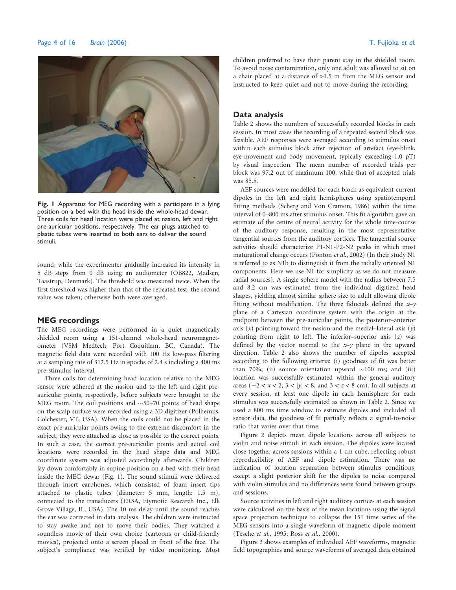

Fig. I Apparatus for MEG recording with a participant in a lying position on a bed with the head inside the whole-head dewar. Three coils for head location were placed at nasion, left and right pre-auricular positions, respectively. The ear plugs attached to plastic tubes were inserted to both ears to deliver the sound stimuli.

sound, while the experimenter gradually increased its intensity in 5 dB steps from 0 dB using an audiometer (OB822, Madsen, Taastrup, Denmark). The threshold was measured twice. When the first threshold was higher than that of the repeated test, the second value was taken; otherwise both were averaged.

#### MEG recordings

The MEG recordings were performed in a quiet magnetically shielded room using a 151-channel whole-head neuromagnetometer (VSM Medtech, Port Coquitlam, BC, Canada). The magnetic field data were recorded with 100 Hz low-pass filtering at a sampling rate of 312.5 Hz in epochs of 2.4 s including a 400 ms pre-stimulus interval.

Three coils for determining head location relative to the MEG sensor were adhered at the nasion and to the left and right preauricular points, respectively, before subjects were brought to the MEG room. The coil positions and  $\sim$ 50–70 points of head shape on the scalp surface were recorded using a 3D digitizer (Polhemus, Colchester, VT, USA). When the coils could not be placed in the exact pre-auricular points owing to the extreme discomfort in the subject, they were attached as close as possible to the correct points. In such a case, the correct pre-auricular points and actual coil locations were recorded in the head shape data and MEG coordinate system was adjusted accordingly afterwards. Children lay down comfortably in supine position on a bed with their head inside the MEG dewar (Fig. 1). The sound stimuli were delivered through insert earphones, which consisted of foam insert tips attached to plastic tubes (diameter: 5 mm, length: 1.5 m), connected to the transducers (ER3A, Etymotic Research Inc., Elk Grove Village, IL, USA). The 10 ms delay until the sound reaches the ear was corrected in data analysis. The children were instructed to stay awake and not to move their bodies. They watched a soundless movie of their own choice (cartoons or child-friendly movies), projected onto a screen placed in front of the face. The subject's compliance was verified by video monitoring. Most children preferred to have their parent stay in the shielded room. To avoid noise contamination, only one adult was allowed to sit on a chair placed at a distance of >1.5 m from the MEG sensor and instructed to keep quiet and not to move during the recording.

# Data analysis

Table 2 shows the numbers of successfully recorded blocks in each session. In most cases the recording of a repeated second block was feasible. AEF responses were averaged according to stimulus onset within each stimulus block after rejection of artefact (eye-blink, eye-movement and body movement, typically exceeding 1.0 pT) by visual inspection. The mean number of recorded trials per block was 97.2 out of maximum 100, while that of accepted trials was 85.5.

AEF sources were modelled for each block as equivalent current dipoles in the left and right hemispheres using spatiotemporal fitting methods (Scherg and Von Cramon, 1986) within the time interval of 0–800 ms after stimulus onset. This fit algorithm gave an estimate of the centre of neural activity for the whole time-course of the auditory response, resulting in the most representative tangential sources from the auditory cortices. The tangential source activities should characterize P1-N1-P2-N2 peaks in which most maturational change occurs (Ponton et al., 2002) (In their study N1 is referred to as N1b to distinguish it from the radially oriented N1 components. Here we use N1 for simplicity as we do not measure radial sources). A single sphere model with the radius between 7.5 and 8.2 cm was estimated from the individual digitized head shapes, yielding almost similar sphere size to adult allowing dipole fitting without modification. The three fiducials defined the  $x-y$ plane of a Cartesian coordinate system with the origin at the midpoint between the pre-auricular points, the posterior–anterior axis  $(x)$  pointing toward the nasion and the medial–lateral axis  $(y)$ pointing from right to left. The inferior–superior axis  $(z)$  was defined by the vector normal to the  $x-y$  plane in the upward direction. Table 2 also shows the number of dipoles accepted according to the following criteria: (i) goodness of fit was better than 70%; (ii) source orientation upward  $\sim$ 100 ms; and (iii) location was successfully estimated within the general auditory areas ( $-2 < x < 2$ ,  $3 < |y| < 8$ , and  $3 < z < 8$  cm). In all subjects at every session, at least one dipole in each hemisphere for each stimulus was successfully estimated as shown in Table 2. Since we used a 800 ms time window to estimate dipoles and included all sensor data, the goodness of fit partially reflects a signal-to-noise ratio that varies over that time.

Figure 2 depicts mean dipole locations across all subjects to violin and noise stimuli in each session. The dipoles were located close together across sessions within a 1 cm cube, reflecting robust reproducibility of AEF and dipole estimation. There was no indication of location separation between stimulus conditions, except a slight posterior shift for the dipoles to noise compared with violin stimulus and no differences were found between groups and sessions.

Source activities in left and right auditory cortices at each session were calculated on the basis of the mean locations using the signal space projection technique to collapse the 151 time series of the MEG sensors into a single waveform of magnetic dipole moment (Tesche et al., 1995; Ross et al., 2000).

Figure 3 shows examples of individual AEF waveforms, magnetic field topographies and source waveforms of averaged data obtained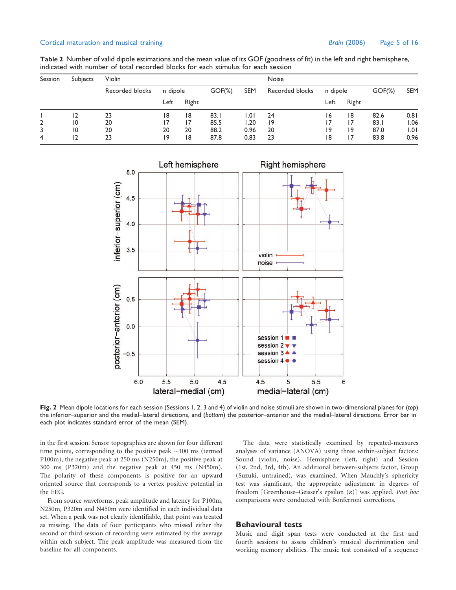#### Cortical maturation and musical training Theorem 2006 Cortical maturation and musical training Brain (2006) Page 5 of 16

Table 2 Number of valid dipole estimations and the mean value of its GOF (goodness of fit) in the left and right hemisphere, indicated with number of total recorded blocks for each stimulus for each session

| Session | <b>Subjects</b> | Violin          |          |       |           |            | <b>Noise</b>    |          |       |           |            |
|---------|-----------------|-----------------|----------|-------|-----------|------------|-----------------|----------|-------|-----------|------------|
|         |                 | Recorded blocks | n dipole |       | $GOF(\%)$ | <b>SEM</b> | Recorded blocks | n dipole |       | $GOF(\%)$ | <b>SEM</b> |
|         |                 |                 | Left     | Right |           |            |                 | Left     | Right |           |            |
|         | 12              | 23              | 18       | 18    | 83.1      | ۱.0۱       | 24              | 16       | 18    | 82.6      | 0.81       |
| 2       | 10              | 20              | 17       |       | 85.5      | 20.۱       | 9               |          | 17    | 83.1      | 06. ا      |
| 3       | 10              | 20              | 20       | 20    | 88.2      | 0.96       | 20              | 19       | 19    | 87.0      | 1.01       |
| 4       | 12              | 23              | 19       | 18    | 87.8      | 0.83       | 23              | 18       | 17    | 83.8      | 0.96       |



Fig. 2 Mean dipole locations for each session (Sessions 1, 2, 3 and 4) of violin and noise stimuli are shown in two-dimensional planes for (top) the inferior–superior and the medial–lateral directions, and (bottom) the posterior–anterior and the medial–lateral directions. Error bar in each plot indicates standard error of the mean (SEM).

in the first session. Sensor topographies are shown for four different time points, corresponding to the positive peak  $\sim$ 100 ms (termed P100m), the negative peak at 250 ms (N250m), the positive peak at 300 ms (P320m) and the negative peak at 450 ms (N450m). The polarity of these components is positive for an upward oriented source that corresponds to a vertex positive potential in the EEG.

From source waveforms, peak amplitude and latency for P100m, N250m, P320m and N450m were identified in each individual data set. When a peak was not clearly identifiable, that point was treated as missing. The data of four participants who missed either the second or third session of recording were estimated by the average within each subject. The peak amplitude was measured from the baseline for all components.

The data were statistically examined by repeated-measures analyses of variance (ANOVA) using three within-subject factors: Sound (violin, noise), Hemisphere (left, right) and Session (1st, 2nd, 3rd, 4th). An additional between-subjects factor, Group (Suzuki, untrained), was examined. When Mauchly's sphericity test was significant, the appropriate adjustment in degrees of freedom [Greenhouse-Geisser's epsilon  $(\varepsilon)$ ] was applied. Post hoc comparisons were conducted with Bonferroni corrections.

#### Behavioural tests

Music and digit span tests were conducted at the first and fourth sessions to assess children's musical discrimination and working memory abilities. The music test consisted of a sequence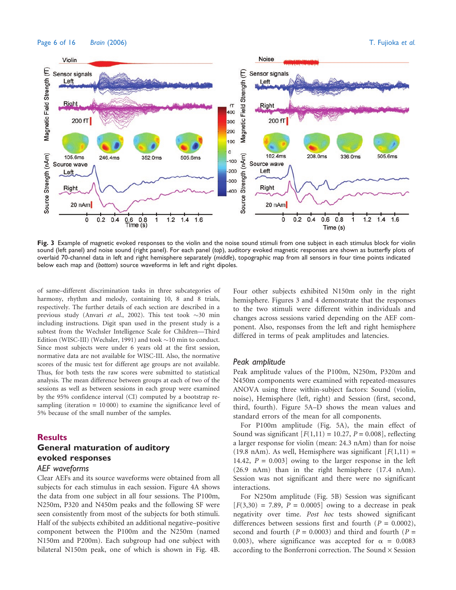#### Page 6 of 16 Brain (2006) Services and the services of the services of the services of the services of the services of the services of the services of the services of the services of the services of the services of the ser



Fig. 3 Example of magnetic evoked responses to the violin and the noise sound stimuli from one subject in each stimulus block for violin sound (left panel) and noise sound (right panel). For each panel (top), auditory evoked magnetic responses are shown as butterfly plots of overlaid 70-channel data in left and right hemisphere separately (middle), topographic map from all sensors in four time points indicated below each map and (bottom) source waveforms in left and right dipoles.

of same–different discrimination tasks in three subcategories of harmony, rhythm and melody, containing 10, 8 and 8 trials, respectively. The further details of each section are described in a previous study (Anvari et al., 2002). This test took  $\sim$ 30 min including instructions. Digit span used in the present study is a subtest from the Wechsler Intelligence Scale for Children—Third Edition (WISC-III) (Wechsler, 1991) and took  $\sim$  10 min to conduct. Since most subjects were under 6 years old at the first session, normative data are not available for WISC-III. Also, the normative scores of the music test for different age groups are not available. Thus, for both tests the raw scores were submitted to statistical analysis. The mean difference between groups at each of two of the sessions as well as between sessions in each group were examined by the 95% confidence interval (CI) computed by a bootstrap resampling (iteration = 10 000) to examine the significance level of 5% because of the small number of the samples.

# **Results**

# General maturation of auditory evoked responses

# AEF waveforms

Clear AEFs and its source waveforms were obtained from all subjects for each stimulus in each session. Figure 4A shows the data from one subject in all four sessions. The P100m, N250m, P320 and N450m peaks and the following SF were seen consistently from most of the subjects for both stimuli. Half of the subjects exhibited an additional negative–positive component between the P100m and the N250m (named N150m and P200m). Each subgroup had one subject with bilateral N150m peak, one of which is shown in Fig. 4B. Four other subjects exhibited N150m only in the right hemisphere. Figures 3 and 4 demonstrate that the responses to the two stimuli were different within individuals and changes across sessions varied depending on the AEF component. Also, responses from the left and right hemisphere differed in terms of peak amplitudes and latencies.

# Peak amplitude

Peak amplitude values of the P100m, N250m, P320m and N450m components were examined with repeated-measures ANOVA using three within-subject factors: Sound (violin, noise), Hemisphere (left, right) and Session (first, second, third, fourth). Figure 5A–D shows the mean values and standard errors of the mean for all components.

For P100m amplitude (Fig. 5A), the main effect of Sound was significant  $[F(1,11) = 10.27, P = 0.008]$ , reflecting a larger response for violin (mean: 24.3 nAm) than for noise (19.8 nAm). As well, Hemisphere was significant  $[F(1,11) =$ 14.42,  $P = 0.003$  owing to the larger response in the left (26.9 nAm) than in the right hemisphere (17.4 nAm). Session was not significant and there were no significant interactions.

For N250m amplitude (Fig. 5B) Session was significant  $[F(3,30) = 7.89, P = 0.0005]$  owing to a decrease in peak negativity over time. Post hoc tests showed significant differences between sessions first and fourth ( $P = 0.0002$ ), second and fourth ( $P = 0.0003$ ) and third and fourth ( $P =$ 0.003), where significance was accepted for  $\alpha = 0.0083$ according to the Bonferroni correction. The Sound  $\times$  Session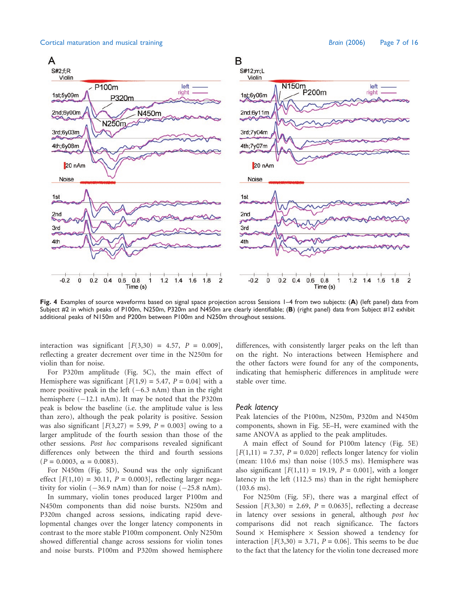

Fig. 4 Examples of source waveforms based on signal space projection across Sessions 1–4 from two subjects: (A) (left panel) data from Subject #2 in which peaks of P100m, N250m, P320m and N450m are clearly identifiable; (B) (right panel) data from Subject #12 exhibit additional peaks of N150m and P200m between P100m and N250m throughout sessions.

interaction was significant  $[F(3,30) = 4.57, P = 0.009]$ , reflecting a greater decrement over time in the N250m for violin than for noise.

For P320m amplitude (Fig. 5C), the main effect of Hemisphere was significant  $[F(1,9) = 5.47, P = 0.04]$  with a more positive peak in the left  $(-6.3 \text{ nAm})$  than in the right hemisphere (-12.1 nAm). It may be noted that the P320m peak is below the baseline (i.e. the amplitude value is less than zero), although the peak polarity is positive. Session was also significant  $[F(3,27) = 5.99, P = 0.003]$  owing to a larger amplitude of the fourth session than those of the other sessions. Post hoc comparisons revealed significant differences only between the third and fourth sessions  $(P = 0.0003, \alpha = 0.0083).$ 

For N450m (Fig. 5D), Sound was the only significant effect  $[F(1,10) = 30.11, P = 0.0003]$ , reflecting larger negativity for violin  $(-36.9 \text{ nAm})$  than for noise  $(-25.8 \text{ nAm})$ .

In summary, violin tones produced larger P100m and N450m components than did noise bursts. N250m and P320m changed across sessions, indicating rapid developmental changes over the longer latency components in contrast to the more stable P100m component. Only N250m showed differential change across sessions for violin tones and noise bursts. P100m and P320m showed hemisphere

differences, with consistently larger peaks on the left than on the right. No interactions between Hemisphere and the other factors were found for any of the components, indicating that hemispheric differences in amplitude were stable over time.

### Peak latency

Peak latencies of the P100m, N250m, P320m and N450m components, shown in Fig. 5E–H, were examined with the same ANOVA as applied to the peak amplitudes.

A main effect of Sound for P100m latency (Fig. 5E)  $[F(1,11) = 7.37, P = 0.020]$  reflects longer latency for violin (mean: 110.6 ms) than noise (105.5 ms). Hemisphere was also significant  $[F(1,11) = 19.19, P = 0.001]$ , with a longer latency in the left (112.5 ms) than in the right hemisphere (103.6 ms).

For N250m (Fig. 5F), there was a marginal effect of Session  $[F(3,30) = 2.69, P = 0.0635]$ , reflecting a decrease in latency over sessions in general, although post hoc comparisons did not reach significance. The factors Sound  $\times$  Hemisphere  $\times$  Session showed a tendency for interaction  $[F(3,30) = 3.71, P = 0.06]$ . This seems to be due to the fact that the latency for the violin tone decreased more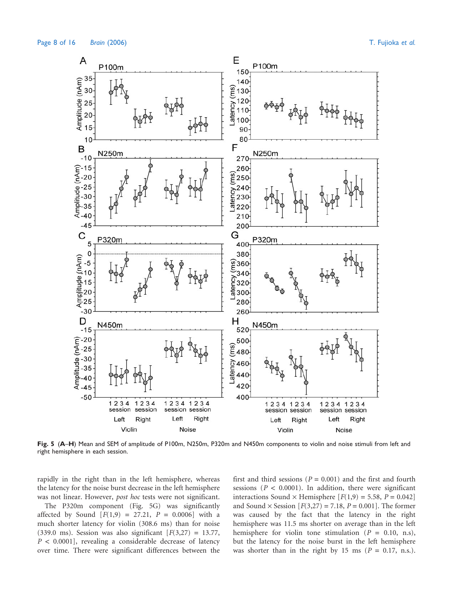

Fig. 5 (A–H) Mean and SEM of amplitude of P100m, N250m, P320m and N450m components to violin and noise stimuli from left and right hemisphere in each session.

rapidly in the right than in the left hemisphere, whereas the latency for the noise burst decrease in the left hemisphere was not linear. However, *post hoc* tests were not significant.

The P320m component (Fig. 5G) was significantly affected by Sound  $[F(1,9) = 27.21, P = 0.0006]$  with a much shorter latency for violin (308.6 ms) than for noise (339.0 ms). Session was also significant  $[F(3,27) = 13.77,$  $P < 0.0001$ , revealing a considerable decrease of latency over time. There were significant differences between the first and third sessions ( $P = 0.001$ ) and the first and fourth sessions ( $P < 0.0001$ ). In addition, there were significant interactions Sound  $\times$  Hemisphere  $[F(1,9) = 5.58, P = 0.042]$ and Sound  $\times$  Session [ $F(3,27) = 7.18$ ,  $P = 0.001$ ]. The former was caused by the fact that the latency in the right hemisphere was 11.5 ms shorter on average than in the left hemisphere for violin tone stimulation ( $P = 0.10$ , n.s), but the latency for the noise burst in the left hemisphere was shorter than in the right by 15 ms ( $P = 0.17$ , n.s.).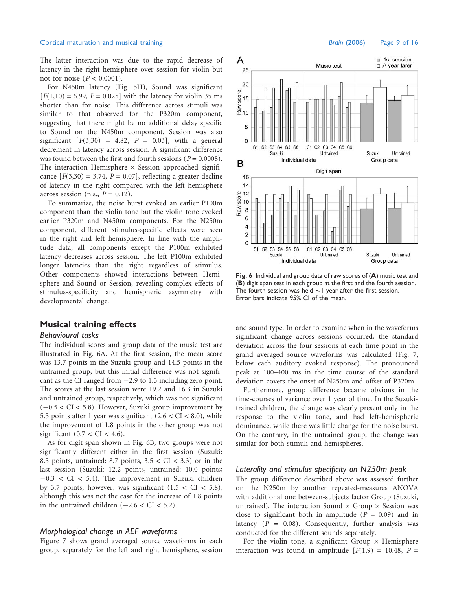### Cortical maturation and musical training Theorem 2006 Cortical maturation and musical training Brain (2006) Page 9 of 16

The latter interaction was due to the rapid decrease of latency in the right hemisphere over session for violin but not for noise ( $P < 0.0001$ ).

For N450m latency (Fig. 5H), Sound was significant  $[F(1,10) = 6.99, P = 0.025]$  with the latency for violin 35 ms shorter than for noise. This difference across stimuli was similar to that observed for the P320m component, suggesting that there might be no additional delay specific to Sound on the N450m component. Session was also significant  $[F(3,30) = 4.82, P = 0.03]$ , with a general decrement in latency across session. A significant difference was found between the first and fourth sessions ( $P = 0.0008$ ). The interaction Hemisphere  $\times$  Session approached significance  $[F(3,30) = 3.74, P = 0.07]$ , reflecting a greater decline of latency in the right compared with the left hemisphere across session (n.s.,  $P = 0.12$ ).

To summarize, the noise burst evoked an earlier P100m component than the violin tone but the violin tone evoked earlier P320m and N450m components. For the N250m component, different stimulus-specific effects were seen in the right and left hemisphere. In line with the amplitude data, all components except the P100m exhibited latency decreases across session. The left P100m exhibited longer latencies than the right regardless of stimulus. Other components showed interactions between Hemisphere and Sound or Session, revealing complex effects of stimulus-specificity and hemispheric asymmetry with developmental change.

# Musical training effects

# Behavioural tasks

The individual scores and group data of the music test are illustrated in Fig. 6A. At the first session, the mean score was 13.7 points in the Suzuki group and 14.5 points in the untrained group, but this initial difference was not significant as the CI ranged from  $-2.9$  to 1.5 including zero point. The scores at the last session were 19.2 and 16.3 in Suzuki and untrained group, respectively, which was not significant  $(-0.5 < CI < 5.8)$ . However, Suzuki group improvement by 5.5 points after 1 year was significant  $(2.6 < CI < 8.0)$ , while the improvement of 1.8 points in the other group was not significant  $(0.7 < CI < 4.6)$ .

As for digit span shown in Fig. 6B, two groups were not significantly different either in the first session (Suzuki: 8.5 points, untrained: 8.7 points,  $3.5 < CI < 3.3$ ) or in the last session (Suzuki: 12.2 points, untrained: 10.0 points; -0.3 < CI < 5.4). The improvement in Suzuki children by 3.7 points, however, was significant  $(1.5 < CI < 5.8)$ , although this was not the case for the increase of 1.8 points in the untrained children  $(-2.6 < CI < 5.2)$ .

## Morphological change in AEF waveforms

Figure 7 shows grand averaged source waveforms in each group, separately for the left and right hemisphere, session



Fig. 6 Individual and group data of raw scores of (A) music test and (B) digit span test in each group at the first and the fourth session. The fourth session was held  $\sim$  I year after the first session. Error bars indicate 95% CI of the mean.

and sound type. In order to examine when in the waveforms significant change across sessions occurred, the standard deviation across the four sessions at each time point in the grand averaged source waveforms was calculated (Fig. 7, below each auditory evoked response). The pronounced peak at 100–400 ms in the time course of the standard deviation covers the onset of N250m and offset of P320m.

Furthermore, group difference became obvious in the time-courses of variance over 1 year of time. In the Suzukitrained children, the change was clearly present only in the response to the violin tone, and had left-hemispheric dominance, while there was little change for the noise burst. On the contrary, in the untrained group, the change was similar for both stimuli and hemispheres.

#### Laterality and stimulus specificity on N250m peak

The group difference described above was assessed further on the N250m by another repeated-measures ANOVA with additional one between-subjects factor Group (Suzuki, untrained). The interaction Sound  $\times$  Group  $\times$  Session was close to significant both in amplitude ( $P = 0.09$ ) and in latency  $(P = 0.08)$ . Consequently, further analysis was conducted for the different sounds separately.

For the violin tone, a significant Group  $\times$  Hemisphere interaction was found in amplitude  $[F(1,9) = 10.48, P =$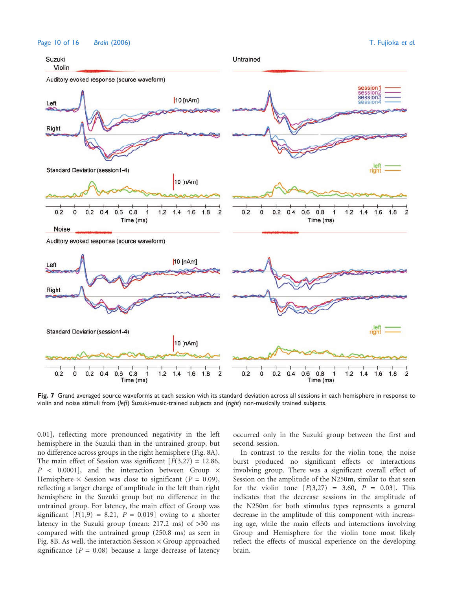#### Page 10 of 16 Brain (2006) Services and the services of the services of the services of the Services of the Services of the Services of the Services of the Services of the Services of the Services of the Services of the Se



Fig. 7 Grand averaged source waveforms at each session with its standard deviation across all sessions in each hemisphere in response to violin and noise stimuli from (left) Suzuki-music-trained subjects and (right) non-musically trained subjects.

0.01], reflecting more pronounced negativity in the left hemisphere in the Suzuki than in the untrained group, but no difference across groups in the right hemisphere (Fig. 8A). The main effect of Session was significant  $[F(3,27) = 12.86,$  $P < 0.0001$ , and the interaction between Group  $\times$ Hemisphere  $\times$  Session was close to significant ( $P = 0.09$ ), reflecting a larger change of amplitude in the left than right hemisphere in the Suzuki group but no difference in the untrained group. For latency, the main effect of Group was significant  $[F(1,9) = 8.21, P = 0.019]$  owing to a shorter latency in the Suzuki group (mean: 217.2 ms) of >30 ms compared with the untrained group (250.8 ms) as seen in Fig. 8B. As well, the interaction Session  $\times$  Group approached significance ( $P = 0.08$ ) because a large decrease of latency occurred only in the Suzuki group between the first and second session.

In contrast to the results for the violin tone, the noise burst produced no significant effects or interactions involving group. There was a significant overall effect of Session on the amplitude of the N250m, similar to that seen for the violin tone  $[F(3,27) = 3.60, P = 0.03]$ . This indicates that the decrease sessions in the amplitude of the N250m for both stimulus types represents a general decrease in the amplitude of this component with increasing age, while the main effects and interactions involving Group and Hemisphere for the violin tone most likely reflect the effects of musical experience on the developing brain.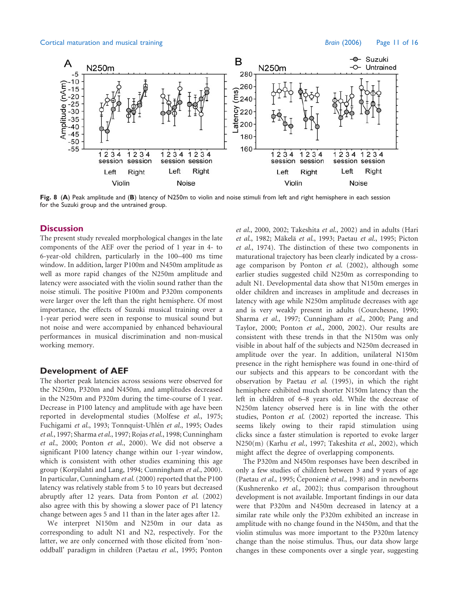Cortical maturation and musical training Theorem 2006 Brain (2006) Page 11 of 16



Fig. 8 (A) Peak amplitude and (B) latency of N250m to violin and noise stimuli from left and right hemisphere in each session for the Suzuki group and the untrained group.

# **Discussion**

The present study revealed morphological changes in the late components of the AEF over the period of 1 year in 4- to 6-year-old children, particularly in the 100–400 ms time window. In addition, larger P100m and N450m amplitude as well as more rapid changes of the N250m amplitude and latency were associated with the violin sound rather than the noise stimuli. The positive P100m and P320m components were larger over the left than the right hemisphere. Of most importance, the effects of Suzuki musical training over a 1-year period were seen in response to musical sound but not noise and were accompanied by enhanced behavioural performances in musical discrimination and non-musical working memory.

## Development of AEF

The shorter peak latencies across sessions were observed for the N250m, P320m and N450m, and amplitudes decreased in the N250m and P320m during the time-course of 1 year. Decrease in P100 latency and amplitude with age have been reported in developmental studies (Molfese et al., 1975; Fuchigami et al., 1993; Tonnquist-Uhlén et al., 1995; Oades et al., 1997; Sharma et al., 1997; Rojas et al., 1998; Cunningham et al., 2000; Ponton et al., 2000). We did not observe a significant P100 latency change within our 1-year window, which is consistent with other studies examining this age group (Korpilahti and Lang, 1994; Cunningham et al., 2000). In particular, Cunningham et al. (2000) reported that the P100 latency was relatively stable from 5 to 10 years but decreased abruptly after 12 years. Data from Ponton et al. (2002) also agree with this by showing a slower pace of P1 latency change between ages 5 and 11 than in the later ages after 12.

We interpret N150m and N250m in our data as corresponding to adult N1 and N2, respectively. For the latter, we are only concerned with those elicited from 'nonoddball' paradigm in children (Paetau et al., 1995; Ponton

et al., 2000, 2002; Takeshita et al., 2002) and in adults (Hari et al., 1982; Mäkelä et al., 1993; Paetau et al., 1995; Picton et al., 1974). The distinction of these two components in maturational trajectory has been clearly indicated by a crossage comparison by Ponton et al. (2002), although some earlier studies suggested child N250m as corresponding to adult N1. Developmental data show that N150m emerges in older children and increases in amplitude and decreases in latency with age while N250m amplitude decreases with age and is very weakly present in adults (Courchesne, 1990; Sharma et al., 1997; Cunningham et al., 2000; Pang and Taylor, 2000; Ponton et al., 2000, 2002). Our results are consistent with these trends in that the N150m was only visible in about half of the subjects and N250m decreased in amplitude over the year. In addition, unilateral N150m presence in the right hemisphere was found in one-third of our subjects and this appears to be concordant with the observation by Paetau et al. (1995), in which the right hemisphere exhibited much shorter N150m latency than the left in children of 6–8 years old. While the decrease of N250m latency observed here is in line with the other studies, Ponton et al. (2002) reported the increase. This seems likely owing to their rapid stimulation using clicks since a faster stimulation is reported to evoke larger N250(m) (Karhu et al., 1997; Takeshita et al., 2002), which might affect the degree of overlapping components.

The P320m and N450m responses have been described in only a few studies of children between 3 and 9 years of age (Paetau et al., 1995; Ceponiene et al., 1998) and in newborns (Kushnerenko et al., 2002); thus comparison throughout development is not available. Important findings in our data were that P320m and N450m decreased in latency at a similar rate while only the P320m exhibited an increase in amplitude with no change found in the N450m, and that the violin stimulus was more important to the P320m latency change than the noise stimulus. Thus, our data show large changes in these components over a single year, suggesting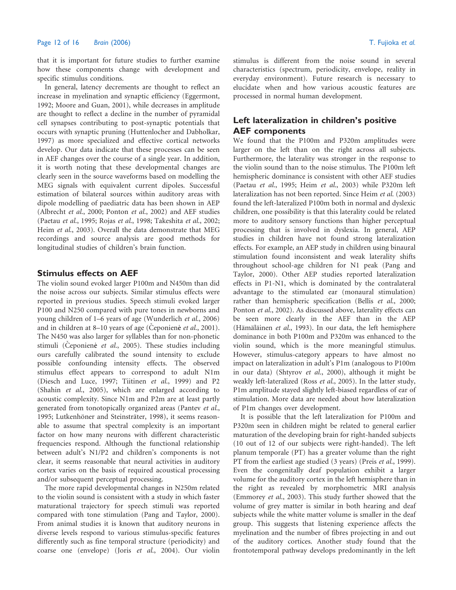#### Page 12 of 16 Brain (2006) Superior Contract Contract Contract Contract Contract Contract Contract Contract Contract Contract Contract Contract Contract Contract Contract Contract Contract Contract Contract Contract Contra

that it is important for future studies to further examine how these components change with development and specific stimulus conditions.

In general, latency decrements are thought to reflect an increase in myelination and synaptic efficiency (Eggermont, 1992; Moore and Guan, 2001), while decreases in amplitude are thought to reflect a decline in the number of pyramidal cell synapses contributing to post-synaptic potentials that occurs with synaptic pruning (Huttenlocher and Dabholkar, 1997) as more specialized and effective cortical networks develop. Our data indicate that these processes can be seen in AEF changes over the course of a single year. In addition, it is worth noting that these developmental changes are clearly seen in the source waveforms based on modelling the MEG signals with equivalent current dipoles. Successful estimation of bilateral sources within auditory areas with dipole modelling of paediatric data has been shown in AEP (Albrecht et al., 2000; Ponton et al., 2002) and AEF studies (Paetau et al., 1995; Rojas et al., 1998; Takeshita et al., 2002; Heim et al., 2003). Overall the data demonstrate that MEG recordings and source analysis are good methods for longitudinal studies of children's brain function.

# Stimulus effects on AEF

The violin sound evoked larger P100m and N450m than did the noise across our subjects. Similar stimulus effects were reported in previous studies. Speech stimuli evoked larger P100 and N250 compared with pure tones in newborns and young children of 1–6 years of age (Wunderlich et al., 2006) and in children at 8–10 years of age (Ceponiene et al., 2001). The N450 was also larger for syllables than for non-phonetic stimuli (Ceponiene et al., 2005). These studies including ours carefully calibrated the sound intensity to exclude possible confounding intensity effects. The observed stimulus effect appears to correspond to adult N1m (Diesch and Luce, 1997; Tiitinen et al., 1999) and P2 (Shahin et al., 2005), which are enlarged according to acoustic complexity. Since N1m and P2m are at least partly generated from tonotopically organized areas (Pantev et al., 1995; Lutkenhöner and Steinsträter, 1998), it seems reasonable to assume that spectral complexity is an important factor on how many neurons with different characteristic frequencies respond. Although the functional relationship between adult's N1/P2 and children's components is not clear, it seems reasonable that neural activities in auditory cortex varies on the basis of required acoustical processing and/or subsequent perceptual processing.

The more rapid developmental changes in N250m related to the violin sound is consistent with a study in which faster maturational trajectory for speech stimuli was reported compared with tone stimulation (Pang and Taylor, 2000). From animal studies it is known that auditory neurons in diverse levels respond to various stimulus-specific features differently such as fine temporal structure (periodicity) and coarse one (envelope) (Joris et al., 2004). Our violin

stimulus is different from the noise sound in several characteristics (spectrum, periodicity, envelope, reality in everyday environment). Future research is necessary to elucidate when and how various acoustic features are processed in normal human development.

# Left lateralization in children's positive AEF components

We found that the P100m and P320m amplitudes were larger on the left than on the right across all subjects. Furthermore, the laterality was stronger in the response to the violin sound than to the noise stimulus. The P100m left hemispheric dominance is consistent with other AEF studies (Paetau et al., 1995; Heim et al., 2003) while P320m left lateralization has not been reported. Since Heim et al. (2003) found the left-lateralized P100m both in normal and dyslexic children, one possibility is that this laterality could be related more to auditory sensory functions than higher perceptual processing that is involved in dyslexia. In general, AEP studies in children have not found strong lateralization effects. For example, an AEP study in children using binaural stimulation found inconsistent and weak laterality shifts throughout school-age children for N1 peak (Pang and Taylor, 2000). Other AEP studies reported lateralization effects in P1-N1, which is dominated by the contralateral advantage to the stimulated ear (monaural stimulation) rather than hemispheric specification (Bellis et al., 2000; Ponton et al., 2002). As discussed above, laterality effects can be seen more clearly in the AEF than in the AEP (Hämäläinen et al., 1993). In our data, the left hemisphere dominance in both P100m and P320m was enhanced to the violin sound, which is the more meaningful stimulus. However, stimulus-category appears to have almost no impact on lateralization in adult's P1m (analogous to P100m in our data) (Shtyrov et al., 2000), although it might be weakly left-lateralized (Ross et al., 2005). In the latter study, P1m amplitude stayed slightly left-biased regardless of ear of stimulation. More data are needed about how lateralization of P1m changes over development.

It is possible that the left lateralization for P100m and P320m seen in children might be related to general earlier maturation of the developing brain for right-handed subjects (10 out of 12 of our subjects were right-handed). The left planum temporale (PT) has a greater volume than the right PT from the earliest age studied (3 years) (Preis et al., 1999). Even the congenitally deaf population exhibit a larger volume for the auditory cortex in the left hemisphere than in the right as revealed by morphometric MRI analysis (Emmorey et al., 2003). This study further showed that the volume of grey matter is similar in both hearing and deaf subjects while the white matter volume is smaller in the deaf group. This suggests that listening experience affects the myelination and the number of fibres projecting in and out of the auditory cortices. Another study found that the frontotemporal pathway develops predominantly in the left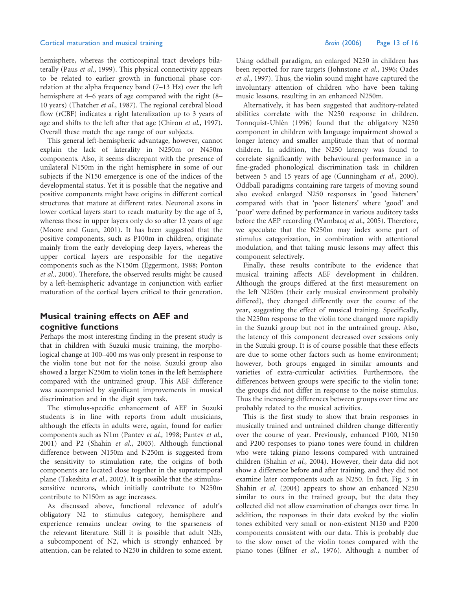#### Cortical maturation and musical training Theorem 2006 Brain (2006) Page 13 of 16

hemisphere, whereas the corticospinal tract develops bilaterally (Paus et al., 1999). This physical connectivity appears to be related to earlier growth in functional phase correlation at the alpha frequency band (7–13 Hz) over the left hemisphere at 4–6 years of age compared with the right (8– 10 years) (Thatcher et al., 1987). The regional cerebral blood flow (rCBF) indicates a right lateralization up to 3 years of age and shifts to the left after that age (Chiron et al., 1997). Overall these match the age range of our subjects.

This general left-hemispheric advantage, however, cannot explain the lack of laterality in N250m or N450m components. Also, it seems discrepant with the presence of unilateral N150m in the right hemisphere in some of our subjects if the N150 emergence is one of the indices of the developmental status. Yet it is possible that the negative and positive components might have origins in different cortical structures that mature at different rates. Neuronal axons in lower cortical layers start to reach maturity by the age of 5, whereas those in upper layers only do so after 12 years of age (Moore and Guan, 2001). It has been suggested that the positive components, such as P100m in children, originate mainly from the early developing deep layers, whereas the upper cortical layers are responsible for the negative components such as the N150m (Eggermont, 1988; Ponton et al., 2000). Therefore, the observed results might be caused by a left-hemispheric advantage in conjunction with earlier maturation of the cortical layers critical to their generation.

# Musical training effects on AEF and cognitive functions

Perhaps the most interesting finding in the present study is that in children with Suzuki music training, the morphological change at 100–400 ms was only present in response to the violin tone but not for the noise. Suzuki group also showed a larger N250m to violin tones in the left hemisphere compared with the untrained group. This AEF difference was accompanied by significant improvements in musical discrimination and in the digit span task.

The stimulus-specific enhancement of AEF in Suzuki students is in line with reports from adult musicians, although the effects in adults were, again, found for earlier components such as N1m (Pantev et al., 1998; Pantev et al., 2001) and P2 (Shahin et al., 2003). Although functional difference between N150m and N250m is suggested from the sensitivity to stimulation rate, the origins of both components are located close together in the supratemporal plane (Takeshita et al., 2002). It is possible that the stimulussensitive neurons, which initially contribute to N250m contribute to N150m as age increases.

As discussed above, functional relevance of adult's obligatory N2 to stimulus category, hemisphere and experience remains unclear owing to the sparseness of the relevant literature. Still it is possible that adult N2b, a subcomponent of N2, which is strongly enhanced by attention, can be related to N250 in children to some extent.

Using oddball paradigm, an enlarged N250 in children has been reported for rare targets (Johnstone et al., 1996; Oades et al., 1997). Thus, the violin sound might have captured the involuntary attention of children who have been taking music lessons, resulting in an enhanced N250m.

Alternatively, it has been suggested that auditory-related abilities correlate with the N250 response in children. Tonnquist-Uhlén (1996) found that the obligatory N250 component in children with language impairment showed a longer latency and smaller amplitude than that of normal children. In addition, the N250 latency was found to correlate significantly with behavioural performance in a fine-graded phonological discrimination task in children between 5 and 15 years of age (Cunningham et al., 2000). Oddball paradigms containing rare targets of moving sound also evoked enlarged N250 responses in 'good listeners' compared with that in 'poor listeners' where 'good' and 'poor' were defined by performance in various auditory tasks before the AEP recording (Wambacq et al., 2005). Therefore, we speculate that the N250m may index some part of stimulus categorization, in combination with attentional modulation, and that taking music lessons may affect this component selectively.

Finally, these results contribute to the evidence that musical training affects AEF development in children. Although the groups differed at the first measurement on the left N250m (their early musical environment probably differed), they changed differently over the course of the year, suggesting the effect of musical training. Specifically, the N250m response to the violin tone changed more rapidly in the Suzuki group but not in the untrained group. Also, the latency of this component decreased over sessions only in the Suzuki group. It is of course possible that these effects are due to some other factors such as home environment; however, both groups engaged in similar amounts and varieties of extra-curricular activities. Furthermore, the differences between groups were specific to the violin tone; the groups did not differ in response to the noise stimulus. Thus the increasing differences between groups over time are probably related to the musical activities.

This is the first study to show that brain responses in musically trained and untrained children change differently over the course of year. Previously, enhanced P100, N150 and P200 responses to piano tones were found in children who were taking piano lessons compared with untrained children (Shahin et al., 2004). However, their data did not show a difference before and after training, and they did not examine later components such as N250. In fact, Fig. 3 in Shahin et al. (2004) appears to show an enhanced N250 similar to ours in the trained group, but the data they collected did not allow examination of changes over time. In addition, the responses in their data evoked by the violin tones exhibited very small or non-existent N150 and P200 components consistent with our data. This is probably due to the slow onset of the violin tones compared with the piano tones (Elfner et al., 1976). Although a number of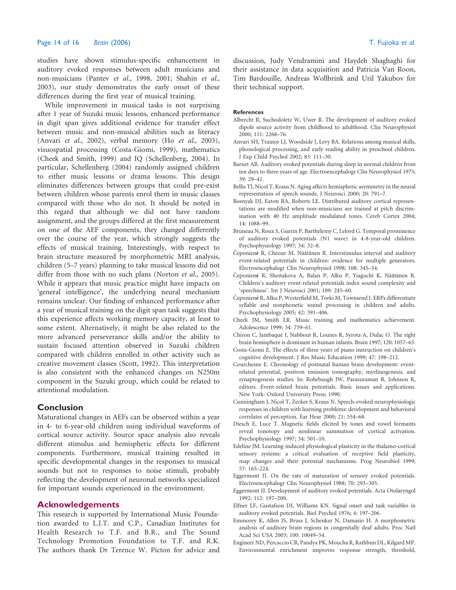#### Page 14 of 16 Brain (2006) Superior Contract Contract Contract Contract Contract Contract Contract Contract Contract Contract Contract Contract Contract Contract Contract Contract Contract Contract Contract Contract Contra

studies have shown stimulus-specific enhancement in auditory evoked responses between adult musicians and non-musicians (Pantev et al., 1998, 2001; Shahin et al., 2003), our study demonstrates the early onset of these differences during the first year of musical training.

While improvement in musical tasks is not surprising after 1 year of Suzuki music lessons, enhanced performance in digit span gives additional evidence for transfer effect between music and non-musical abilities such as literacy (Anvari et al., 2002), verbal memory (Ho et al., 2003), visuospatial processing (Costa-Giomi, 1999), mathematics (Cheek and Smith, 1999) and IQ (Schellenberg, 2004). In particular, Schellenberg (2004) randomly assigned children to either music lessons or drama lessons. This design eliminates differences between groups that could pre-exist between children whose parents enrol them in music classes compared with those who do not. It should be noted in this regard that although we did not have random assignment, and the groups differed at the first measurement on one of the AEF components, they changed differently over the course of the year, which strongly suggests the effects of musical training. Interestingly, with respect to brain structure measured by morphometric MRI analysis, children (5–7 years) planning to take musical lessons did not differ from those with no such plans (Norton et al., 2005). While it appears that music practice might have impacts on 'general intelligence', the underlying neural mechanism remains unclear. Our finding of enhanced performance after a year of musical training on the digit span task suggests that this experience affects working memory capacity, at least to some extent. Alternatively, it might be also related to the more advanced perseverance skills and/or the ability to sustain focused attention observed in Suzuki children compared with children enrolled in other activity such as creative movement classes (Scott, 1992). This interpretation is also consistent with the enhanced changes on N250m component in the Suzuki group, which could be related to attentional modulation.

# Conclusion

Maturational changes in AEFs can be observed within a year in 4- to 6-year-old children using individual waveforms of cortical source activity. Source space analysis also reveals different stimulus and hemispheric effects for different components. Furthermore, musical training resulted in specific developmental changes in the responses to musical sounds but not to responses to noise stimuli, probably reflecting the development of neuronal networks specialized for important sounds experienced in the environment.

# Acknowledgements

This research is supported by International Music Foundation awarded to L.J.T. and C.P., Canadian Institutes for Health Research to T.F. and B.R., and The Sound Technology Promotion Foundation to T.F. and R.K. The authors thank Dr Terence W. Picton for advice and discussion, Judy Vendramini and Haydeh Shaghaghi for their assistance in data acquisition and Patricia Van Roon, Tim Bardouille, Andreas Wollbrink and Uril Yakubov for their technical support.

#### **References**

- Albrecht R, Suchodoletz W, Uwer R. The development of auditory evoked dipole source activity from childhood to adulthood. Clin Neurophysiol 2000; 111: 2268–76.
- Anvari SH, Trainor LJ, Woodside J, Levy BA. Relations among musical skills, phonological processing, and early reading ability in preschool children. J Exp Child Psychol 2002; 83: 111–30.
- Barnet AB. Auditory evoked potentials during sleep in normal children from ten days to three years of age. Electroencephalogr Clin Neurophysiol 1975; 39: 29–41.
- Bellis TJ, Nicol T, Kraus N. Aging affects hemispheric asymmetry in the neural representation of speech sounds. J Neurosci 2000; 20: 791–7.
- Bosnyak DJ, Eaton RA, Roberts LE. Distributed auditory cortical representations are modified when non-musicians are trained at pitch discrimination with 40 Hz amplitude modulated tones. Cereb Cortex 2004; 14: 1088–99.
- Bruneau N, Roux S, Guerin P, Barthelemy C, Lelord G. Temporal prominence of auditory evoked potentials (N1 wave) in 4-8-year-old children. Psychophysiology 1997; 34: 32–8.
- Čeponienė R, Cheour M, Näätänen R. Interstimulus interval and auditory event-related potentials in children: evidence for multiple generators. Electroencephalogr Clin Neurophysiol 1998; 108: 345–54.
- Čeponienė R, Shestakova A, Balan P, Alku P, Yiaguchi K, Näätänen R. Children's auditory event-related potentials index sound complexity and 'speechness'. Int J Neurosci 2001; 109: 245–60.
- Čeponienė R, Alku P, Westerfield M, Torki M, Townsend J. ERPs differentiate syllable and nonphonetic sound processing in children and adults. Psychophysiology 2005; 42: 391–406.
- Cheek JM, Smith LR. Music training and mathematics achievement. Adolescence 1999; 34: 759–61.
- Chiron C, Jambaque I, Nabbout R, Lounes R, Syrota A, Dulac O. The right brain hemisphere is dominant in human infants. Brain 1997; 120: 1057–65.
- Costa-Giomi E. The effects of three years of piano instruction on children's cognitive development. J Res Music Education 1999; 47: 198–212.
- Courchesne E. Chronology of postnatal human brain development: eventrelated potential, positron emission tomography, myelinogenesis, and synaptogenesis studies. In: Rohrbaugh JW, Parasuraman R, Johnson R, editors. Event-related brain potentials. Basic issues and applications. New York: Oxford University Press; 1990.
- Cunningham J, Nicol T, Zecker S, Kraus N. Speech-evoked neurophysiologic responses in children with learning problems: development and behavioral correlates of perception. Ear Hear 2000; 21: 554–68.
- Diesch E, Luce T. Magnetic fields elicited by tones and vowel formants reveal tonotopy and nonlinear summation of cortical activation. Psychophysiology 1997; 34: 501–10.
- Edeline JM. Learning-induced physiological plasticity in the thalamo-cortical sensory systems: a critical evaluation of receptive field plasticity, map changes and their potential mechanisms. Prog Neurobiol 1999; 57: 165–224.
- Eggermont JJ. On the rate of maturation of sensory evoked potentials. Electroencephalogr Clin Neurophysiol 1988; 70: 293–305.
- Eggermont JJ. Development of auditory evoked potentials. Acta Otolaryngol 1992; 112: 197–200.
- Elfner LF, Gustafson DJ, Williams KN. Signal onset and task variables in auditory evoked potentials. Biol Psychol 1976; 4: 197–206.
- Emmorey K, Allen JS, Bruss J, Schenker N, Damasio H. A morphometric analysis of auditory brain regions in congenitally deaf adults. Proc Natl Acad Sci USA 2003; 100: 10049–54.
- Engineer ND, Percaccio CR, Pandya PK, Moucha R, Rathbun DL, Kilgard MP. Environmental enrichment improves response strength, threshold,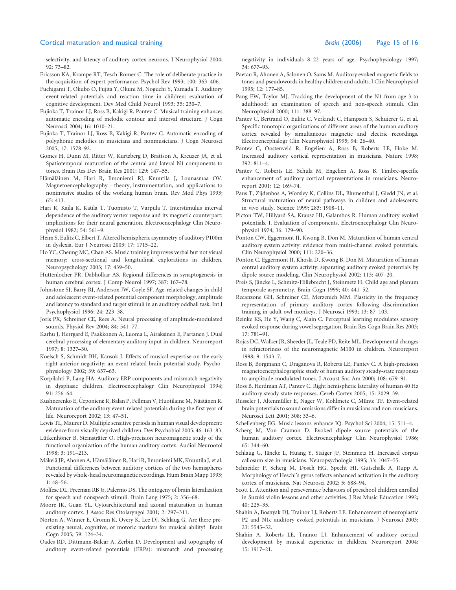#### Cortical maturation and musical training Theorem 2006 Brain (2006) Page 15 of 16

selectivity, and latency of auditory cortex neurons. J Neurophysiol 2004; 92: 73–82.

- Ericsson KA, Krampe RT, Tesch-Romer C. The role of deliberate practice in the acquisition of expert performance. Psychol Rev 1993; 100: 363–406.
- Fuchigami T, Okubo O, Fujita Y, Okuni M, Noguchi Y, Yamada T. Auditory event-related potentials and reaction time in children: evaluation of cognitive development. Dev Med Child Neurol 1993; 35: 230–7.
- Fujioka T, Trainor LJ, Ross B, Kakigi R, Pantev C. Musical training enhances automatic encoding of melodic contour and interval structure. J Cogn Neurosci 2004; 16: 1010–21.
- Fujioka T, Trainor LJ, Ross B, Kakigi R, Pantev C. Automatic encoding of polyphonic melodies in musicians and nonmusicians. J Cogn Neurosci 2005; 17: 1578–92.
- Gomes H, Dunn M, Ritter W, Kurtzberg D, Brattson A, Kreuzer JA, et al. Spatiotemporal maturation of the central and lateral N1 components to tones. Brain Res Dev Brain Res 2001; 129: 147–55.
- Hämäläinen M, Hari R, Ilmoniemi RJ, Knuutila J, Lounasmaa OV. Magnetoencephalography - theory, instrumentation, and applications to noninvasive studies of the working human brain. Rev Mod Phys 1993; 65: 413.
- Hari R, Kaila K, Katila T, Tuomisto T, Varpula T. Interstimulus interval dependence of the auditory vertex response and its magnetic counterpart: implications for their neural generation. Electroencephalogr Clin Neurophysiol 1982; 54: 561–9.
- Heim S, Eulitz C, Elbert T. Altered hemispheric asymmetry of auditory P100m in dyslexia. Eur J Neurosci 2003; 17: 1715–22.
- Ho YC, Cheung MC, Chan AS. Music training improves verbal but not visual memory: cross-sectional and longitudinal explorations in children. Neuropsychology 2003; 17: 439–50.
- Huttenlocher PR, Dabholkar AS. Regional differences in synaptogenesis in human cerebral cortex. J Comp Neurol 1997; 387: 167–78.
- Johnstone SJ, Barry RJ, Anderson JW, Coyle SF. Age-related changes in child and adolescent event-related potential component morphology, amplitude and latency to standard and target stimuli in an auditory oddball task. Int J Psychophysiol 1996; 24: 223–38.
- Joris PX, Schreiner CE, Rees A. Neural processing of amplitude-modulated sounds. Physiol Rev 2004; 84: 541–77.
- Karhu J, Herrgard E, Paakkonen A, Luoma L, Airaksinen E, Partanen J. Dual cerebral processing of elementary auditory input in children. Neuroreport 1997; 8: 1327–30.
- Koelsch S, Schmidt BH, Kansok J. Effects of musical expertise on the early right anterior negativity: an event-related brain potential study. Psychophysiology 2002; 39: 657–63.
- Korpilahti P, Lang HA. Auditory ERP components and mismatch negativity in dysphasic children. Electroencephalogr Clin Neurophysiol 1994; 91: 256–64.
- Kushnerenko E, Čeponienė R, Balan P, Fellman V, Huotilaine M, Näätänen R. Maturation of the auditory event-related potentials during the first year of life. Neuroreport 2002; 13: 47–51.
- Lewis TL, Maurer D. Multiple sensitive periods in human visual development: evidence from visually deprived children. Dev Psychobiol 2005; 46: 163–83.
- Lütkenhöner B, Steinsträter O. High-precision neuromagnetic study of the functional organization of the human auditory cortex. Audiol Neurootol 1998; 3: 191–213.
- Mäkelä JP, Ahonen A, Hämäläinen R, Hari R, Ilmoniemi MK, Knuutila J, et al. Functional differences between auditory cortices of the two hemispheres revealed by whole-head neuromagnetic recordings. Hum Brain Mapp 1993; 1: 48–56.
- Molfese DL, Freeman RB Jr, Palermo DS. The ontogeny of brain lateralization for speech and nonspeech stimuli. Brain Lang 1975; 2: 356–68.
- Moore JK, Guan YL. Cytoarchitectural and axonal maturation in human auditory cortex. J Assoc Res Otolaryngol 2001; 2: 297–311.
- Norton A, Winner E, Cronin K, Overy K, Lee DJ, Schlaug G. Are there preexisting neural, cognitive, or motoric markers for musical ability? Brain Cogn 2005; 59: 124–34.
- Oades RD, Dittmann-Balcar A, Zerbin D. Development and topography of auditory event-related potentials (ERPs): mismatch and processing

negativity in individuals 8–22 years of age. Psychophysiology 1997; 34: 677–93.

- Paetau R, Ahonen A, Salonen O, Sams M. Auditory evoked magnetic fields to tones and pseudowords in healthy children and adults. J Clin Neurophysiol 1995; 12: 177–85.
- Pang EW, Taylor MJ. Tracking the development of the N1 from age 3 to adulthood: an examination of speech and non-speech stimuli. Clin Neurophysiol 2000; 111: 388–97.
- Pantev C, Bertrand O, Eulitz C, Verkindt C, Hampson S, Schuierer G, et al. Specific tonotopic organizations of different areas of the human auditory cortex revealed by simultaneous magnetic and electric recordings. Electroencephalogr Clin Neurophysiol 1995; 94: 26–40.
- Pantev C, Oostenveld R, Engelien A, Ross B, Roberts LE, Hoke M. Increased auditory cortical representation in musicians. Nature 1998; 392: 811–4.
- Pantev C, Roberts LE, Schulz M, Engelien A, Ross B. Timbre-specific enhancement of auditory cortical representations in musicians. Neuroreport 2001; 12: 169–74.
- Paus T, Zijdenbos A, Worsley K, Collins DL, Blumenthal J, Giedd JN, et al. Structural maturation of neural pathways in children and adolescents: in vivo study. Science 1999; 283: 1908–11.
- Picton TW, Hillyard SA, Krausz HI, Galambos R. Human auditory evoked potentials. I. Evaluation of components. Electroencephalogr Clin Neurophysiol 1974; 36: 179–90.
- Ponton CW, Eggermont JJ, Kwong B, Don M. Maturation of human central auditory system activity: evidence from multi-channel evoked potentials. Clin Neurophysiol 2000; 111: 220–36.
- Ponton C, Eggermont JJ, Khosla D, Kwong B, Don M. Maturation of human central auditory system activity: separating auditory evoked potentials by dipole source modeling. Clin Neurophysiol 2002; 113: 407–20.
- Preis S, Jäncke L, Schmitz-Hillebrecht J, Steinmetz H. Child age and planum temporale asymmetry. Brain Cogn 1999; 40: 441–52.
- Recanzone GH, Schreiner CE, Merzenich MM. Plasticity in the frequency representation of primary auditory cortex following discrimination training in adult owl monkeys. J Neurosci 1993; 13: 87–103.
- Reinke KS, He Y, Wang C, Alain C. Perceptual learning modulates sensory evoked response during vowel segregation. Brain Res Cogn Brain Res 2003; 17: 781–91.
- Rojas DC, Walker JR, Sheeder JL, Teale PD, Reite ML. Developmental changes in refractoriness of the neuromagnetic M100 in children. Neuroreport 1998; 9: 1543–7.
- Ross B, Borgmann C, Draganova R, Roberts LE, Pantev C. A high-precision magnetoencephalographic study of human auditory steady-state responses to amplitude-modulated tones. J Acoust Soc Am 2000; 108: 679–91.
- Ross B, Herdman AT, Pantev C. Right hemispheric laterality of human 40 Hz auditory steady-state responses. Cereb Cortex 2005; 15: 2029–39.
- Russeler J, Altenmüller E, Nager W, Kohlmetz C, Münte TF. Event-related brain potentials to sound omissions differ in musicians and non-musicians. Neurosci Lett 2001; 308: 33–6.
- Schellenberg EG. Music lessons enhance IQ. Psychol Sci 2004; 15: 511–4.
- Scherg M, Von Cramon D. Evoked dipole source potentials of the human auditory cortex. Electroencephalogr Clin Neurophysiol 1986; 65: 344–60.
- Schlaug G, Jäncke L, Huang Y, Staiger JF, Steinmetz H. Increased corpus callosum size in musicians. Neuropsychologia 1995; 33: 1047–55.
- Schneider P, Scherg M, Dosch HG, Specht HJ, Gutschalk A, Rupp A. Morphology of Heschl's gyrus reflects enhanced activation in the auditory cortex of musicians. Nat Neurosci 2002; 5: 688–94.
- Scott L. Attention and perseverance behaviors of preschool children enrolled in Suzuki violin lessons and other activities. J Res Music Education 1992; 40: 225–35.
- Shahin A, Bosnyak DJ, Trainor LJ, Roberts LE. Enhancement of neuroplastic P2 and N1c auditory evoked potentials in musicians. J Neurosci 2003; 23: 5545–52.
- Shahin A, Roberts LE, Trainor LJ. Enhancement of auditory cortical development by musical experience in children. Neuroreport 2004; 15: 1917–21.